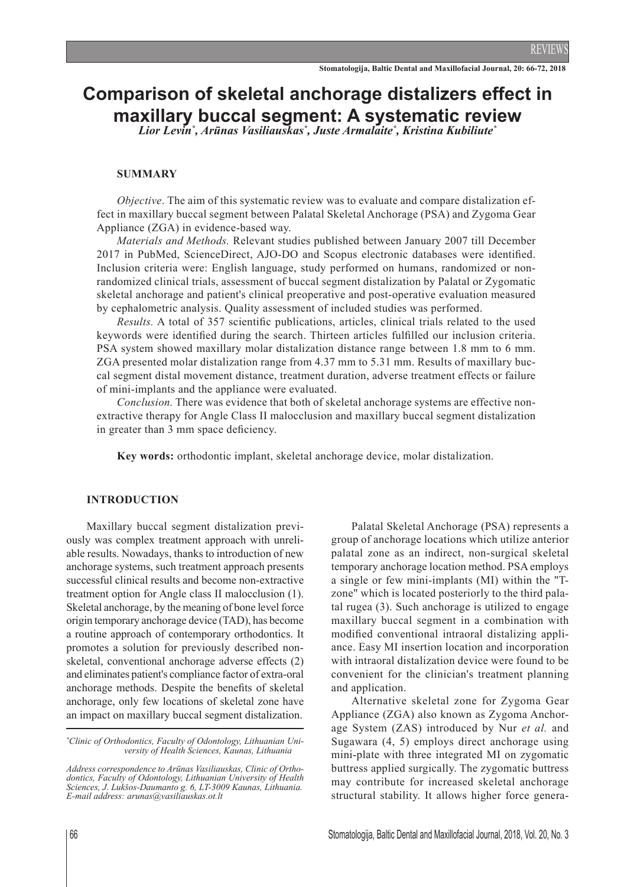# **Comparison of skeletal anchorage distalizers effect in maxillary buccal segment: A systematic review**

*Lior Levin\* , Arūnas Vasiliauskas\* , Juste Armalaite\* , Kristina Kubiliute\**

#### **SUMMARY**

*Objective*. The aim of this systematic review was to evaluate and compare distalization effect in maxillary buccal segment between Palatal Skeletal Anchorage (PSA) and Zygoma Gear Appliance (ZGA) in evidence-based way.

*Materials and Methods.* Relevant studies published between January 2007 till December 2017 in PubMed, ScienceDirect, AJO-DO and Scopus electronic databases were identified. Inclusion criteria were: English language, study performed on humans, randomized or nonrandomized clinical trials, assessment of buccal segment distalization by Palatal or Zygomatic skeletal anchorage and patient's clinical preoperative and post-operative evaluation measured by cephalometric analysis. Quality assessment of included studies was performed.

*Results.* A total of 357 scientific publications, articles, clinical trials related to the used keywords were identified during the search. Thirteen articles fulfilled our inclusion criteria. PSA system showed maxillary molar distalization distance range between 1.8 mm to 6 mm. ZGA presented molar distalization range from 4.37 mm to 5.31 mm. Results of maxillary buccal segment distal movement distance, treatment duration, adverse treatment effects or failure of mini-implants and the appliance were evaluated.

*Conclusion.* There was evidence that both of skeletal anchorage systems are effective nonextractive therapy for Angle Class II malocclusion and maxillary buccal segment distalization in greater than 3 mm space deficiency.

**Key words:** orthodontic implant, skeletal anchorage device, molar distalization.

#### **Introduction**

Maxillary buccal segment distalization previously was complex treatment approach with unreliable results. Nowadays, thanks to introduction of new anchorage systems, such treatment approach presents successful clinical results and become non-extractive treatment option for Angle class II malocclusion (1). Skeletal anchorage, by the meaning of bone level force origin temporary anchorage device (TAD), has become a routine approach of contemporary orthodontics. It promotes a solution for previously described nonskeletal, conventional anchorage adverse effects (2) and eliminates patient's compliance factor of extra-oral anchorage methods. Despite the benefits of skeletal anchorage, only few locations of skeletal zone have an impact on maxillary buccal segment distalization.

Palatal Skeletal Anchorage (PSA) represents a group of anchorage locations which utilize anterior palatal zone as an indirect, non-surgical skeletal temporary anchorage location method. PSA employs a single or few mini-implants (MI) within the "Tzone" which is located posteriorly to the third palatal rugea (3). Such anchorage is utilized to engage maxillary buccal segment in a combination with modified conventional intraoral distalizing appliance. Easy MI insertion location and incorporation with intraoral distalization device were found to be convenient for the clinician's treatment planning and application.

Alternative skeletal zone for Zygoma Gear Appliance (ZGA) also known as Zygoma Anchorage System (ZAS) introduced by Nur *et al.* and Sugawara (4, 5) employs direct anchorage using mini-plate with three integrated MI on zygomatic buttress applied surgically. The zygomatic buttress may contribute for increased skeletal anchorage structural stability. It allows higher force genera-

*<sup>\*</sup> Clinic of Orthodontics, Faculty of Odontology, Lithuanian University of Health Sciences, Kaunas, Lithuania*

*Address correspondence to Arūnas Vasiliauskas, Clinic of Orthodontics, Faculty of Odontology, Lithuanian University of Health Sciences, J. Lukšos-Daumanto g. 6, LT-3009 Kaunas, Lithuania. E-mail address: arunas@vasiliauskas.ot.lt*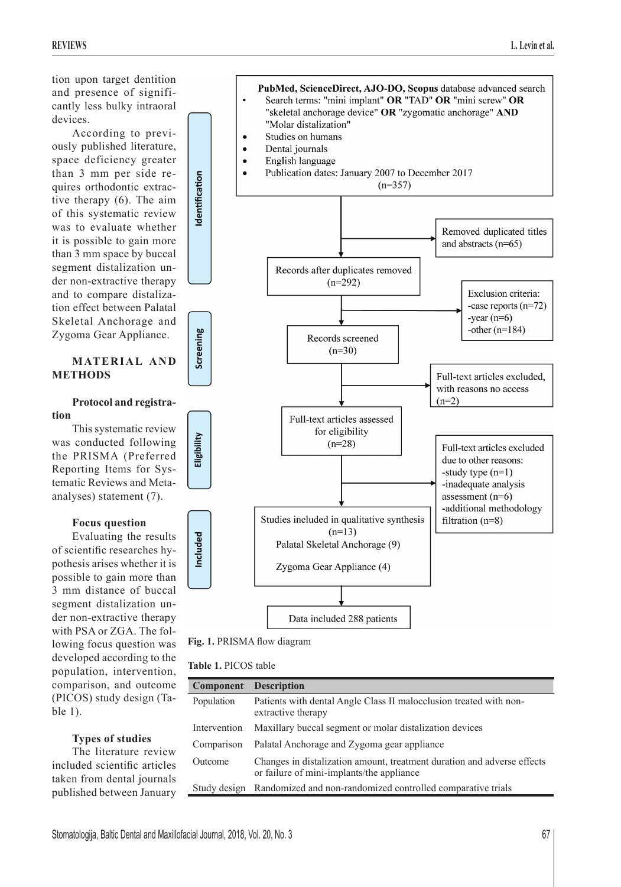tion upon target dentition and presence of significantly less bulky intraoral devices.

According to previously published literature, space deficiency greater than 3 mm per side requires orthodontic extractive therapy (6). The aim of this systematic review was to evaluate whether it is possible to gain more than 3 mm space by buccal segment distalization under non-extractive therapy and to compare distalization effect between Palatal Skeletal Anchorage and Zygoma Gear Appliance.

# **MATERIAL AND METHODS**

#### **Protocol and registration**

This systematic review was conducted following the PRISMA (Preferred Reporting Items for Systematic Reviews and Metaanalyses) statement (7).

# **Focus question**

Evaluating the results of scientific researches hypothesis arises whether it is possible to gain more than 3 mm distance of buccal segment distalization under non-extractive therapy with PSA or ZGA. The following focus question was developed according to the population, intervention, comparison, and outcome (PICOS) study design (Table 1).

# **Types of studies**

The literature review included scientific articles taken from dental journals published between January



**Fig. 1.** PRISMA flow diagram

| <b>Table 1. PICOS table</b> |
|-----------------------------|
|-----------------------------|

| <b>Component</b> | <b>Description</b>                                                                                                   |
|------------------|----------------------------------------------------------------------------------------------------------------------|
| Population       | Patients with dental Angle Class II malocclusion treated with non-<br>extractive therapy                             |
| Intervention     | Maxillary buccal segment or molar distalization devices                                                              |
| Comparison       | Palatal Anchorage and Zygoma gear appliance                                                                          |
| Outcome          | Changes in distalization amount, treatment duration and adverse effects<br>or failure of mini-implants/the appliance |
| Study design     | Randomized and non-randomized controlled comparative trials                                                          |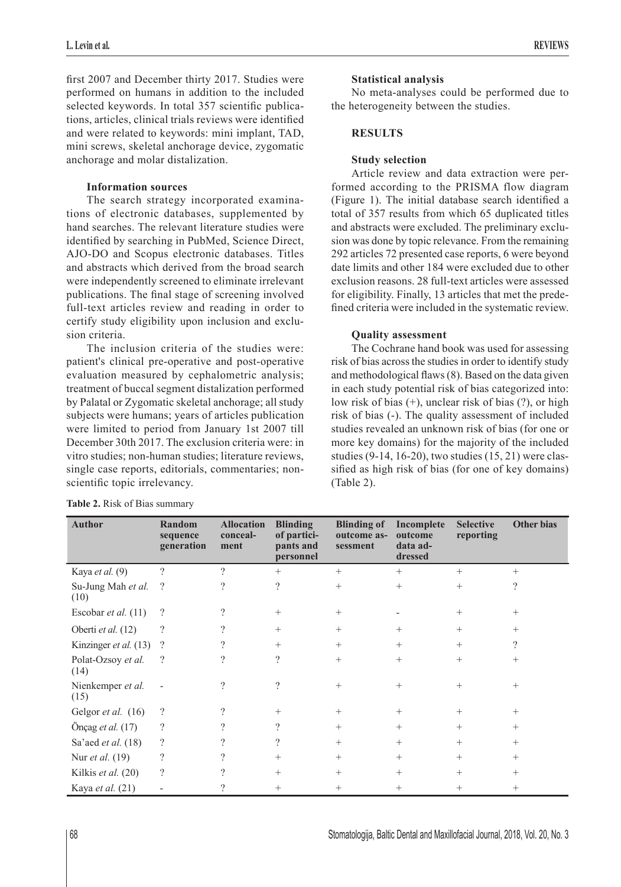first 2007 and December thirty 2017. Studies were performed on humans in addition to the included selected keywords. In total 357 scientific publications, articles, clinical trials reviews were identified and were related to keywords: mini implant, TAD, mini screws, skeletal anchorage device, zygomatic anchorage and molar distalization.

# **Information sources**

The search strategy incorporated examinations of electronic databases, supplemented by hand searches. The relevant literature studies were identified by searching in PubMed, Science Direct, AJO-DO and Scopus electronic databases. Titles and abstracts which derived from the broad search were independently screened to eliminate irrelevant publications. The final stage of screening involved full-text articles review and reading in order to certify study eligibility upon inclusion and exclusion criteria.

The inclusion criteria of the studies were: patient's clinical pre-operative and post-operative evaluation measured by cephalometric analysis; treatment of buccal segment distalization performed by Palatal or Zygomatic skeletal anchorage; all study subjects were humans; years of articles publication were limited to period from January 1st 2007 till December 30th 2017. The exclusion criteria were: in vitro studies; non-human studies; literature reviews, single case reports, editorials, commentaries; nonscientific topic irrelevancy.

## **Statistical analysis**

No meta-analyses could be performed due to the heterogeneity between the studies.

## **RESULTS**

## **Study selection**

Article review and data extraction were performed according to the PRISMA flow diagram (Figure 1). The initial database search identified a total of 357 results from which 65 duplicated titles and abstracts were excluded. The preliminary exclusion was done by topic relevance. From the remaining 292 articles 72 presented case reports, 6 were beyond date limits and other 184 were excluded due to other exclusion reasons. 28 full-text articles were assessed for eligibility. Finally, 13 articles that met the predefined criteria were included in the systematic review.

## **Quality assessment**

The Cochrane hand book was used for assessing risk of bias across the studies in order to identify study and methodological flaws (8). Based on the data given in each study potential risk of bias categorized into: low risk of bias (+), unclear risk of bias (?), or high risk of bias (-). The quality assessment of included studies revealed an unknown risk of bias (for one or more key domains) for the majority of the included studies (9-14, 16-20), two studies (15, 21) were classified as high risk of bias (for one of key domains) (Table 2).

| <b>Author</b>              | Random<br>sequence<br>generation | <b>Allocation</b><br>conceal-<br>ment | <b>Blinding</b><br>of partici-<br>pants and<br>personnel | <b>Blinding of</b><br>outcome as-<br>sessment | Incomplete<br>outcome<br>data ad-<br>dressed | <b>Selective</b><br>reporting | <b>Other bias</b> |
|----------------------------|----------------------------------|---------------------------------------|----------------------------------------------------------|-----------------------------------------------|----------------------------------------------|-------------------------------|-------------------|
| Kaya et al. (9)            | $\gamma$                         | $\gamma$                              | $+$                                                      | $^{+}$                                        | $^{+}$                                       | $^{+}$                        | $^{+}$            |
| Su-Jung Mah et al.<br>(10) | $\gamma$                         | ?                                     | $\overline{\mathcal{L}}$                                 | $^{+}$                                        | $^{+}$                                       | $^{+}$                        | $\gamma$          |
| Escobar et al. $(11)$      | $\overline{\mathcal{L}}$         | $\gamma$                              | $+$                                                      | $^{+}$                                        |                                              | $^{+}$                        | $^{+}$            |
| Oberti et al. (12)         | $\overline{\mathcal{L}}$         | $\gamma$                              | $+$                                                      | $^{+}$                                        | $^{+}$                                       | $^{+}$                        | $^{+}$            |
| Kinzinger et al. (13)      | $\gamma$                         | 9                                     | $^{+}$                                                   | $^{+}$                                        | $^{+}$                                       | $^{+}$                        | $\gamma$          |
| Polat-Ozsoy et al.<br>(14) | $\gamma$                         | 9                                     | $\gamma$                                                 | $^{+}$                                        | $^{+}$                                       | $^{+}$                        | $^{+}$            |
| Nienkemper et al.<br>(15)  |                                  | $\gamma$                              | $\overline{\mathcal{L}}$                                 | $^{+}$                                        | $^{+}$                                       | $^{+}$                        | $^{+}$            |
| Gelgor et al. (16)         | ?                                | $\gamma$                              | $^{+}$                                                   | $^{+}$                                        | $^{+}$                                       | $^{+}$                        | $^{+}$            |
| Önçag et al. (17)          | $\overline{\mathcal{L}}$         | 9                                     | $\gamma$                                                 | $^{+}$                                        | $^{+}$                                       | $^{+}$                        | $^{+}$            |
| Sa'aed et al. (18)         | $\gamma$                         | 7                                     | ?                                                        | $^{+}$                                        | $^{+}$                                       | $^+$                          | $^{+}$            |
| Nur <i>et al.</i> (19)     | $\gamma$                         | $\gamma$                              | $+$                                                      | $^{+}$                                        | $^{+}$                                       | $^{+}$                        | $^{+}$            |
| Kilkis et al. (20)         | $\overline{\mathcal{L}}$         | $\gamma$                              | $+$                                                      | $^{+}$                                        | $^{+}$                                       | $^{+}$                        | $^{+}$            |
| Kaya et al. (21)           |                                  | ?                                     | $+$                                                      | $^{+}$                                        | $^{+}$                                       | $^+$                          | $^+$              |

**Table 2.** Risk of Bias summary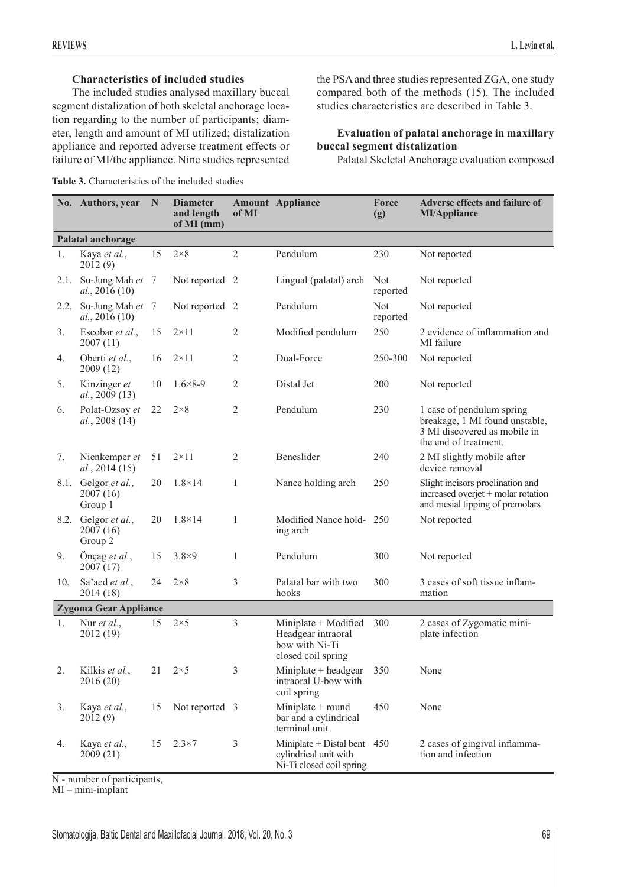# **Characteristics of included studies**

The included studies analysed maxillary buccal segment distalization of both skeletal anchorage location regarding to the number of participants; diameter, length and amount of MI utilized; distalization appliance and reported adverse treatment effects or failure of MI/the appliance. Nine studies represented

**Table 3.** Characteristics of the included studies

the PSA and three studies represented ZGA, one study compared both of the methods (15). The included studies characteristics are described in Table 3.

## **Evaluation of palatal anchorage in maxillary buccal segment distalization**

Palatal Skeletal Anchorage evaluation composed

|                              | No. Authors, year                          | N  | <b>Diameter</b><br>and length<br>of MI (mm) | of MI          | <b>Amount</b> Appliance                                                            | Force<br>(g)           | <b>Adverse effects and failure of</b><br><b>MI/Appliance</b>                                                         |  |
|------------------------------|--------------------------------------------|----|---------------------------------------------|----------------|------------------------------------------------------------------------------------|------------------------|----------------------------------------------------------------------------------------------------------------------|--|
| Palatal anchorage            |                                            |    |                                             |                |                                                                                    |                        |                                                                                                                      |  |
| 1.                           | Kaya et al.,<br>2012(9)                    | 15 | $2\times8$                                  | $\overline{2}$ | Pendulum                                                                           | 230                    | Not reported                                                                                                         |  |
| 2.1.                         | Su-Jung Mah et 7<br>al., 2016(10)          |    | Not reported 2                              |                | Lingual (palatal) arch                                                             | Not<br>reported        | Not reported                                                                                                         |  |
| 2.2.                         | Su-Jung Mah et 7<br>al., 2016(10)          |    | Not reported 2                              |                | Pendulum                                                                           | <b>Not</b><br>reported | Not reported                                                                                                         |  |
| 3.                           | Escobar et al.,<br>2007(11)                | 15 | $2 \times 11$                               | $\overline{2}$ | Modified pendulum                                                                  | 250                    | 2 evidence of inflammation and<br>MI failure                                                                         |  |
| 4.                           | Oberti et al.,<br>2009(12)                 | 16 | $2\times11$                                 | $\overline{2}$ | Dual-Force                                                                         | 250-300                | Not reported                                                                                                         |  |
| 5.                           | Kinzinger et<br>al., 2009(13)              | 10 | $1.6 \times 8 - 9$                          | $\overline{2}$ | Distal Jet                                                                         | 200                    | Not reported                                                                                                         |  |
| 6.                           | Polat-Ozsoy et<br>al., 2008 (14)           | 22 | $2\times8$                                  | $\overline{2}$ | Pendulum                                                                           | 230                    | 1 case of pendulum spring<br>breakage, 1 MI found unstable,<br>3 MI discovered as mobile in<br>the end of treatment. |  |
| 7.                           | Nienkemper et<br>al., 2014(15)             | 51 | $2\times11$                                 | $\overline{2}$ | Beneslider                                                                         | 240                    | 2 MI slightly mobile after<br>device removal                                                                         |  |
|                              | 8.1. Gelgor et al.,<br>2007(16)<br>Group 1 | 20 | $1.8 \times 14$                             | $\mathbf{1}$   | Nance holding arch                                                                 | 250                    | Slight incisors proclination and<br>increased overjet + molar rotation<br>and mesial tipping of premolars            |  |
|                              | 8.2. Gelgor et al.,<br>2007(16)<br>Group 2 | 20 | $1.8 \times 14$                             | $\mathbf{1}$   | Modified Nance hold-250<br>ing arch                                                |                        | Not reported                                                                                                         |  |
| 9.                           | Önçag et al.,<br>2007(17)                  | 15 | $3.8\times9$                                | $\mathbf{1}$   | Pendulum                                                                           | 300                    | Not reported                                                                                                         |  |
| 10.                          | Sa'aed et al.,<br>2014(18)                 | 24 | $2\times8$                                  | 3              | Palatal bar with two<br>hooks                                                      | 300                    | 3 cases of soft tissue inflam-<br>mation                                                                             |  |
| <b>Zygoma Gear Appliance</b> |                                            |    |                                             |                |                                                                                    |                        |                                                                                                                      |  |
| 1.                           | Nur et al.,<br>2012 (19)                   | 15 | $2\times 5$                                 | $\overline{3}$ | Miniplate + Modified<br>Headgear intraoral<br>bow with Ni-Ti<br>closed coil spring | 300                    | 2 cases of Zygomatic mini-<br>plate infection                                                                        |  |
| 2.                           | Kilkis et al.,<br>2016 (20)                | 21 | $2\times5$                                  | 3              | Miniplate $+$ headgear<br>intraoral U-bow with<br>coil spring                      | 350                    | None                                                                                                                 |  |
| 3.                           | Kaya et al.,<br>2012(9)                    | 15 | Not reported 3                              |                | Miniplate + round<br>bar and a cylindrical<br>terminal unit                        | 450                    | None                                                                                                                 |  |
| 4.                           | Kaya et al.,<br>2009(21)                   | 15 | $2.3\times7$                                | $\mathfrak{Z}$ | Miniplate + Distal bent 450<br>cylindrical unit with<br>Ni-Ti closed coil spring   |                        | 2 cases of gingival inflamma-<br>tion and infection                                                                  |  |

N - number of participants,

MI – mini-implant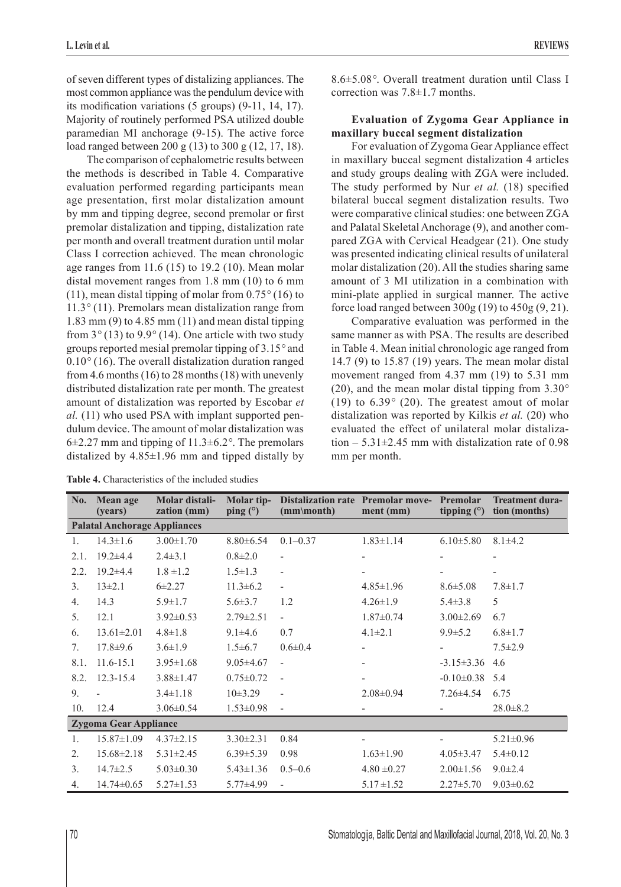of seven different types of distalizing appliances. The most common appliance was the pendulum device with its modification variations (5 groups) (9-11, 14, 17). Majority of routinely performed PSA utilized double paramedian MI anchorage (9-15). The active force load ranged between 200 g (13) to 300 g (12, 17, 18).

The comparison of cephalometric results between the methods is described in Table 4. Comparative evaluation performed regarding participants mean age presentation, first molar distalization amount by mm and tipping degree, second premolar or first premolar distalization and tipping, distalization rate per month and overall treatment duration until molar Class I correction achieved. The mean chronologic age ranges from  $11.6$  (15) to 19.2 (10). Mean molar distal movement ranges from 1.8 mm (10) to 6 mm (11), mean distal tipping of molar from 0.75*°* (16) to 11.3*°* (11). Premolars mean distalization range from 1.83 mm (9) to 4.85 mm (11) and mean distal tipping from 3*°* (13) to 9.9*°* (14). One article with two study groups reported mesial premolar tipping of 3.15*°* and 0.10*°* (16). The overall distalization duration ranged from 4.6 months (16) to 28 months (18) with unevenly distributed distalization rate per month. The greatest amount of distalization was reported by Escobar *et al.* (11) who used PSA with implant supported pendulum device. The amount of molar distalization was 6±2.27 mm and tipping of 11.3±6.2*°*. The premolars distalized by  $4.85 \pm 1.96$  mm and tipped distally by

**Table 4.** Characteristics of the included studies

8.6±5.08*°*. Overall treatment duration until Class I correction was 7.8±1.7 months.

## **Evaluation of Zygoma Gear Appliance in maxillary buccal segment distalization**

For evaluation of Zygoma Gear Appliance effect in maxillary buccal segment distalization 4 articles and study groups dealing with ZGA were included. The study performed by Nur *et al.* (18) specified bilateral buccal segment distalization results. Two were comparative clinical studies: one between ZGA and Palatal Skeletal Anchorage (9), and another compared ZGA with Cervical Headgear (21). One study was presented indicating clinical results of unilateral molar distalization (20). All the studies sharing same amount of 3 MI utilization in a combination with mini-plate applied in surgical manner. The active force load ranged between 300g (19) to 450g (9, 21).

Comparative evaluation was performed in the same manner as with PSA. The results are described in Table 4. Mean initial chronologic age ranged from 14.7 (9) to 15.87 (19) years. The mean molar distal movement ranged from 4.37 mm (19) to 5.31 mm (20), and the mean molar distal tipping from 3.30*°* (19) to 6.39*°* (20). The greatest amout of molar distalization was reported by Kilkis *et al.* (20) who evaluated the effect of unilateral molar distalization  $-5.31\pm2.45$  mm with distalization rate of 0.98 mm per month.

| No.                                 | Mean age<br>(years) | Molar distali-<br>zation (mm) | Molar tip-<br>ping $(°)$ | <b>Distalization rate Premolar move-</b><br>(mm\month) | ment (mm)                | Premolar<br>tipping $(°)$ | <b>Treatment dura-</b><br>tion (months) |  |  |
|-------------------------------------|---------------------|-------------------------------|--------------------------|--------------------------------------------------------|--------------------------|---------------------------|-----------------------------------------|--|--|
| <b>Palatal Anchorage Appliances</b> |                     |                               |                          |                                                        |                          |                           |                                         |  |  |
| $\mathbf{1}$ .                      | $14.3 \pm 1.6$      | $3.00 \pm 1.70$               | $8.80\pm 6.54$           | $0.1 - 0.37$                                           | $1.83 \pm 1.14$          | $6.10 \pm 5.80$           | $8.1 \pm 4.2$                           |  |  |
| 2.1.                                | $19.2 \pm 4.4$      | $2.4 \pm 3.1$                 | $0.8 + 2.0$              |                                                        |                          |                           |                                         |  |  |
| 2.2.                                | $19.2 \pm 4.4$      | $1.8 \pm 1.2$                 | $1.5 \pm 1.3$            | $\overline{a}$                                         |                          |                           |                                         |  |  |
| 3 <sub>1</sub>                      | $13 \pm 2.1$        | $6 + 2.27$                    | $11.3 \pm 6.2$           | $\blacksquare$                                         | $4.85 \pm 1.96$          | $8.6 \pm 5.08$            | $7.8 \pm 1.7$                           |  |  |
| 4.                                  | 14.3                | $5.9 \pm 1.7$                 | $5.6 \pm 3.7$            | 1.2                                                    | $4.26 \pm 1.9$           | $5.4 \pm 3.8$             | 5                                       |  |  |
| 5.                                  | 12.1                | $3.92 \pm 0.53$               | $2.79 \pm 2.51$          | $\frac{1}{2}$                                          | $1.87 \pm 0.74$          | $3.00 \pm 2.69$           | 6.7                                     |  |  |
| 6.                                  | $13.61 \pm 2.01$    | $4.8 \pm 1.8$                 | $9.1 \pm 4.6$            | 0.7                                                    | $4.1 \pm 2.1$            | $9.9 \pm 5.2$             | $6.8 \pm 1.7$                           |  |  |
| 7.                                  | $17.8 + 9.6$        | $3.6 \pm 1.9$                 | $1.5\pm 6.7$             | $0.6 \pm 0.4$                                          |                          |                           | $7.5 \pm 2.9$                           |  |  |
| 8.1.                                | $11.6 - 15.1$       | $3.95 \pm 1.68$               | $9.05 \pm 4.67$          | $\overline{\phantom{0}}$                               | $\overline{\phantom{a}}$ | $-3.15 \pm 3.36$          | 4.6                                     |  |  |
| 8.2.                                | $12.3 - 15.4$       | $3.88 \pm 1.47$               | $0.75 \pm 0.72$          | $\overline{a}$                                         | $\overline{\phantom{a}}$ | $-0.10 \pm 0.38$          | 5.4                                     |  |  |
| 9.                                  |                     | $3.4 \pm 1.18$                | 10±3.29                  | $\overline{a}$                                         | $2.08 \pm 0.94$          | $7.26 \pm 4.54$           | 6.75                                    |  |  |
| 10.                                 | 12.4                | $3.06 \pm 0.54$               | $1.53 \pm 0.98$          | $\overline{\phantom{m}}$                               |                          |                           | $28.0 \pm 8.2$                          |  |  |
| <b>Zygoma Gear Appliance</b>        |                     |                               |                          |                                                        |                          |                           |                                         |  |  |
| 1.                                  | $15.87 \pm 1.09$    | $4.37 \pm 2.15$               | $3.30 \pm 2.31$          | 0.84                                                   |                          |                           | $5.21 \pm 0.96$                         |  |  |
| $\mathfrak{2}$ .                    | $15.68 \pm 2.18$    | $5.31 \pm 2.45$               | $6.39 \pm 5.39$          | 0.98                                                   | $1.63 \pm 1.90$          | $4.05 \pm 3.47$           | $5.4 \pm 0.12$                          |  |  |
| 3 <sub>1</sub>                      | $14.7 \pm 2.5$      | $5.03 \pm 0.30$               | $5.43 \pm 1.36$          | $0.5 - 0.6$                                            | $4.80 \pm 0.27$          | $2.00 \pm 1.56$           | $9.0 \pm 2.4$                           |  |  |
| 4.                                  | $14.74 \pm 0.65$    | $5.27 \pm 1.53$               | $5.77\pm4.99$            | $\frac{1}{2}$                                          | $5.17 \pm 1.52$          | $2.27 \pm 5.70$           | $9.03 \pm 0.62$                         |  |  |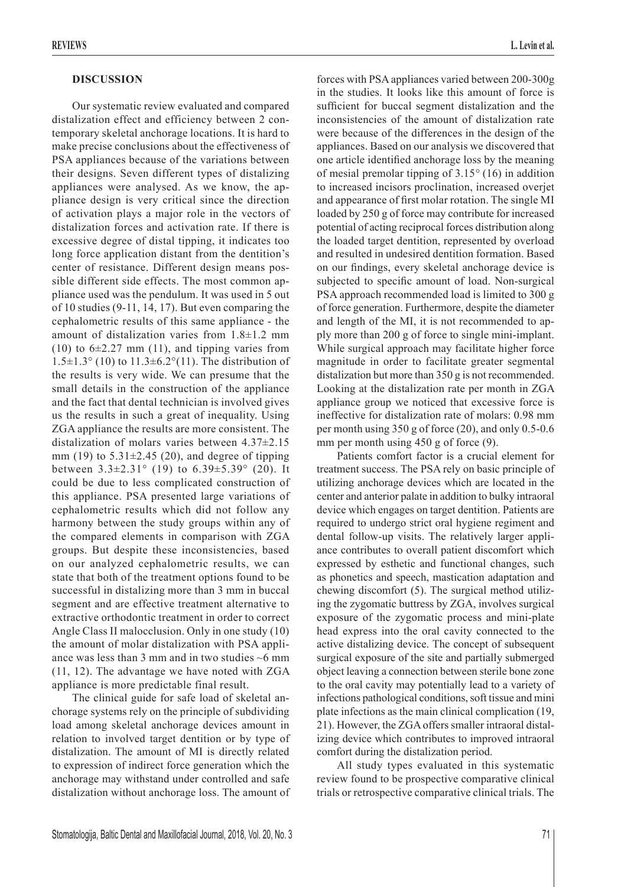#### **DISCUSSION**

Our systematic review evaluated and compared distalization effect and efficiency between 2 contemporary skeletal anchorage locations. It is hard to make precise conclusions about the effectiveness of PSA appliances because of the variations between their designs. Seven different types of distalizing appliances were analysed. As we know, the appliance design is very critical since the direction of activation plays a major role in the vectors of distalization forces and activation rate. If there is excessive degree of distal tipping, it indicates too long force application distant from the dentition's center of resistance. Different design means possible different side effects. The most common appliance used was the pendulum. It was used in 5 out of 10 studies (9-11, 14, 17). But even comparing the cephalometric results of this same appliance - the amount of distalization varies from 1.8±1.2 mm  $(10)$  to  $6\pm2.27$  mm  $(11)$ , and tipping varies from  $1.5\pm1.3^{\circ}$  (10) to  $11.3\pm6.2^{\circ}$ (11). The distribution of the results is very wide. We can presume that the small details in the construction of the appliance and the fact that dental technician is involved gives us the results in such a great of inequality. Using ZGA appliance the results are more consistent. The distalization of molars varies between 4.37±2.15 mm (19) to  $5.31\pm2.45$  (20), and degree of tipping between  $3.3\pm2.31^{\circ}$  (19) to  $6.39\pm5.39^{\circ}$  (20). It could be due to less complicated construction of this appliance. PSA presented large variations of cephalometric results which did not follow any harmony between the study groups within any of the compared elements in comparison with ZGA groups. But despite these inconsistencies, based on our analyzed cephalometric results, we can state that both of the treatment options found to be successful in distalizing more than 3 mm in buccal segment and are effective treatment alternative to extractive orthodontic treatment in order to correct Angle Class II malocclusion. Only in one study (10) the amount of molar distalization with PSA appliance was less than 3 mm and in two studies  $\sim$  6 mm (11, 12). The advantage we have noted with ZGA appliance is more predictable final result.

The clinical guide for safe load of skeletal anchorage systems rely on the principle of subdividing load among skeletal anchorage devices amount in relation to involved target dentition or by type of distalization. The amount of MI is directly related to expression of indirect force generation which the anchorage may withstand under controlled and safe distalization without anchorage loss. The amount of forces with PSA appliances varied between 200-300g in the studies. It looks like this amount of force is sufficient for buccal segment distalization and the inconsistencies of the amount of distalization rate were because of the differences in the design of the appliances. Based on our analysis we discovered that one article identified anchorage loss by the meaning of mesial premolar tipping of 3.15*°* (16) in addition to increased incisors proclination, increased overjet and appearance of first molar rotation. The single MI loaded by 250 g of force may contribute for increased potential of acting reciprocal forces distribution along the loaded target dentition, represented by overload and resulted in undesired dentition formation. Based on our findings, every skeletal anchorage device is subjected to specific amount of load. Non-surgical PSA approach recommended load is limited to 300 g of force generation. Furthermore, despite the diameter and length of the MI, it is not recommended to apply more than 200 g of force to single mini-implant. While surgical approach may facilitate higher force magnitude in order to facilitate greater segmental distalization but more than 350 g is not recommended. Looking at the distalization rate per month in ZGA appliance group we noticed that excessive force is ineffective for distalization rate of molars: 0.98 mm per month using 350 g of force (20), and only 0.5-0.6 mm per month using 450 g of force  $(9)$ .

Patients comfort factor is a crucial element for treatment success. The PSA rely on basic principle of utilizing anchorage devices which are located in the center and anterior palate in addition to bulky intraoral device which engages on target dentition. Patients are required to undergo strict oral hygiene regiment and dental follow-up visits. The relatively larger appliance contributes to overall patient discomfort which expressed by esthetic and functional changes, such as phonetics and speech, mastication adaptation and chewing discomfort (5). The surgical method utilizing the zygomatic buttress by ZGA, involves surgical exposure of the zygomatic process and mini-plate head express into the oral cavity connected to the active distalizing device. The concept of subsequent surgical exposure of the site and partially submerged object leaving a connection between sterile bone zone to the oral cavity may potentially lead to a variety of infections pathological conditions, soft tissue and mini plate infections as the main clinical complication (19, 21). However, the ZGA offers smaller intraoral distalizing device which contributes to improved intraoral comfort during the distalization period.

All study types evaluated in this systematic review found to be prospective comparative clinical trials or retrospective comparative clinical trials. The